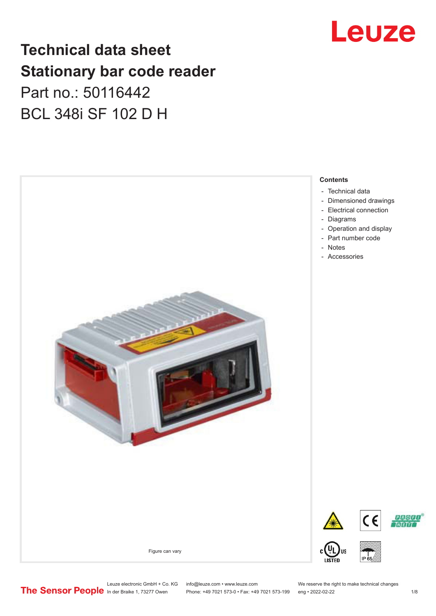# Leuze

# **Technical data sheet Stationary bar code reader** Part no.: 50116442 BCL 348i SF 102 D H



Leuze electronic GmbH + Co. KG info@leuze.com • www.leuze.com We reserve the right to make technical changes<br>
The Sensor People in der Braike 1, 73277 Owen Phone: +49 7021 573-0 • Fax: +49 7021 573-199 eng • 2022-02-22

Phone: +49 7021 573-0 • Fax: +49 7021 573-199 eng • 2022-02-22 1 /8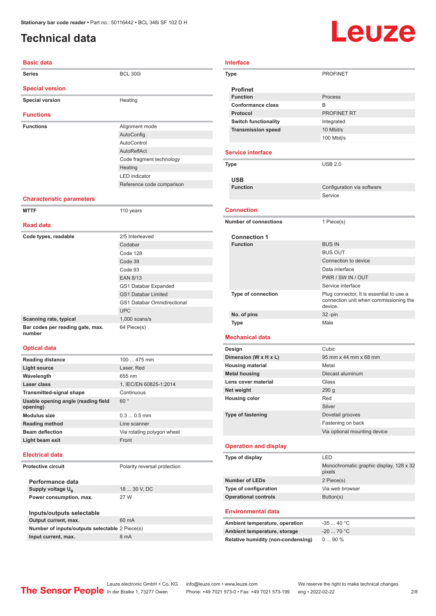# <span id="page-1-0"></span>**Technical data**

# Leuze

| <b>Basic data</b>                |                           |  |  |  |
|----------------------------------|---------------------------|--|--|--|
| <b>Series</b>                    | <b>BCL 300i</b>           |  |  |  |
| <b>Special version</b>           |                           |  |  |  |
| <b>Special version</b>           | Heating                   |  |  |  |
| <b>Functions</b>                 |                           |  |  |  |
| <b>Functions</b>                 | Alignment mode            |  |  |  |
|                                  | AutoConfig                |  |  |  |
|                                  | AutoControl               |  |  |  |
|                                  | AutoReflAct               |  |  |  |
|                                  | Code fragment technology  |  |  |  |
|                                  | Heating                   |  |  |  |
|                                  | <b>LED</b> indicator      |  |  |  |
|                                  | Reference code comparison |  |  |  |
| <b>Characteristic parameters</b> |                           |  |  |  |
| <b>MTTF</b>                      | 110 years                 |  |  |  |
| <b>Read data</b>                 |                           |  |  |  |
| Code types, readable             | 2/5 Interleaved           |  |  |  |
|                                  | Codabar                   |  |  |  |
|                                  | Code 128                  |  |  |  |
|                                  |                           |  |  |  |

|                                            | Codabar                            |
|--------------------------------------------|------------------------------------|
|                                            | Code 128                           |
|                                            | Code 39                            |
|                                            | Code 93                            |
|                                            | <b>EAN 8/13</b>                    |
|                                            | GS1 Databar Expanded               |
|                                            | <b>GS1 Databar Limited</b>         |
|                                            | <b>GS1 Databar Omnidirectional</b> |
|                                            | <b>UPC</b>                         |
| Scanning rate, typical                     | $1,000$ scans/s                    |
| Bar codes per reading gate, max.<br>number | 64 Piece(s)                        |

#### **Optical data**

| <b>Reading distance</b>                         | $100475$ mm                |
|-------------------------------------------------|----------------------------|
| Light source                                    | Laser, Red                 |
| Wavelength                                      | 655 nm                     |
| Laser class                                     | 1, IEC/EN 60825-1:2014     |
| <b>Transmitted-signal shape</b>                 | Continuous                 |
| Usable opening angle (reading field<br>opening) | 60°                        |
| Modulus size                                    | $0.30.5$ mm                |
| <b>Reading method</b>                           | Line scanner               |
| <b>Beam deflection</b>                          | Via rotating polygon wheel |
| Light beam exit                                 | Front                      |
|                                                 |                            |

#### **Electrical data**

**Protective circuit** Polarity reversal protection

**Performance data Supply voltage U<sub>B</sub> Power consumption, max.** 27 W

18 ... 30 V, DC

| Inputs/outputs selectable                      |       |
|------------------------------------------------|-------|
| Output current, max.                           | 60 mA |
| Number of inputs/outputs selectable 2 Piece(s) |       |
| Input current, max.                            | 8 mA  |

| Interface                    |                                                   |  |  |
|------------------------------|---------------------------------------------------|--|--|
| Type                         | <b>PROFINET</b>                                   |  |  |
| <b>Profinet</b>              |                                                   |  |  |
| <b>Function</b>              | Process                                           |  |  |
| <b>Conformance class</b>     | B                                                 |  |  |
| Protocol                     | <b>PROFINET RT</b>                                |  |  |
| <b>Switch functionality</b>  | Integrated                                        |  |  |
| <b>Transmission speed</b>    | 10 Mbit/s                                         |  |  |
|                              | 100 Mbit/s                                        |  |  |
|                              |                                                   |  |  |
| <b>Service interface</b>     |                                                   |  |  |
| Type                         | <b>USB 2.0</b>                                    |  |  |
|                              |                                                   |  |  |
| <b>USB</b>                   |                                                   |  |  |
| <b>Function</b>              | Configuration via software                        |  |  |
|                              | Service                                           |  |  |
| <b>Connection</b>            |                                                   |  |  |
|                              |                                                   |  |  |
| <b>Number of connections</b> | 1 Piece(s)                                        |  |  |
| <b>Connection 1</b>          |                                                   |  |  |
| <b>Function</b>              | <b>BUS IN</b>                                     |  |  |
|                              | <b>BUS OUT</b>                                    |  |  |
|                              | Connection to device                              |  |  |
|                              | Data interface                                    |  |  |
|                              | PWR / SW IN / OUT                                 |  |  |
|                              | Service interface                                 |  |  |
| Type of connection           | Plug connector, It is essential to use a          |  |  |
|                              | connection unit when commissioning the<br>device. |  |  |
| No. of pins                  | $32 - pin$                                        |  |  |
| <b>Type</b>                  | Male                                              |  |  |
|                              |                                                   |  |  |
| <b>Mechanical data</b>       |                                                   |  |  |
| Design                       | Cubic                                             |  |  |
| Dimension (W x H x L)        | 95 mm x 44 mm x 68 mm                             |  |  |
| <b>Housing material</b>      | Metal                                             |  |  |
| <b>Metal housing</b>         | Diecast aluminum                                  |  |  |
| Lens cover material          | Glass                                             |  |  |
| Net weight                   | 290 <sub>g</sub>                                  |  |  |

# **Operation and display**

**Housing color** Red

**Type of fastening** Dovetail grooves

| Type of display             | I FD                                              |
|-----------------------------|---------------------------------------------------|
|                             | Monochromatic graphic display, 128 x 32<br>pixels |
| <b>Number of LEDs</b>       | 2 Piece(s)                                        |
| Type of configuration       | Via web browser                                   |
| <b>Operational controls</b> | Button(s)                                         |

Silver

Fastening on back Via optional mounting device

#### **Environmental data**

| Ambient temperature, operation     | -35  40 °C |
|------------------------------------|------------|
| Ambient temperature, storage       | $-2070 °C$ |
| Relative humidity (non-condensing) | $090\%$    |

Leuze electronic GmbH + Co. KG info@leuze.com • www.leuze.com We reserve the right to make technical changes<br>
The Sensor People in der Braike 1, 73277 Owen Phone: +49 7021 573-0 • Fax: +49 7021 573-199 eng • 2022-02-22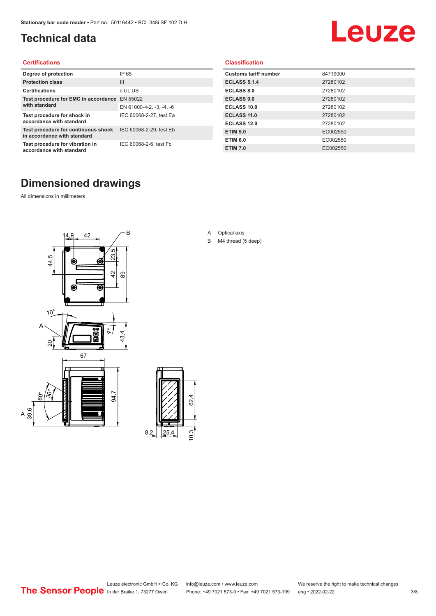# <span id="page-2-0"></span>**Technical data**

# Leuze

#### **Certifications**

| Degree of protection                                               | IP 65                    |
|--------------------------------------------------------------------|--------------------------|
| <b>Protection class</b>                                            | Ш                        |
| <b>Certifications</b>                                              | c UL US                  |
| Test procedure for EMC in accordance EN 55022                      |                          |
| with standard                                                      | EN 61000-4-2, -3, -4, -6 |
| Test procedure for shock in<br>accordance with standard            | IEC 60068-2-27, test Ea  |
| Test procedure for continuous shock<br>in accordance with standard | IEC 60068-2-29, test Eb  |
| Test procedure for vibration in<br>accordance with standard        | IEC 60068-2-6, test Fc   |

#### **Classification**

| <b>Customs tariff number</b> | 84719000 |
|------------------------------|----------|
| <b>ECLASS 5.1.4</b>          | 27280102 |
| <b>ECLASS 8.0</b>            | 27280102 |
| <b>ECLASS 9.0</b>            | 27280102 |
| ECLASS 10.0                  | 27280102 |
| <b>ECLASS 11.0</b>           | 27280102 |
| ECLASS 12.0                  | 27280102 |
| <b>ETIM 5.0</b>              | EC002550 |
| <b>ETIM 6.0</b>              | EC002550 |
| <b>ETIM 7.0</b>              | EC002550 |

# **Dimensioned drawings**

All dimensions in millimeters

 $\overline{A}$ 





- A Optical axis
- B M4 thread (5 deep)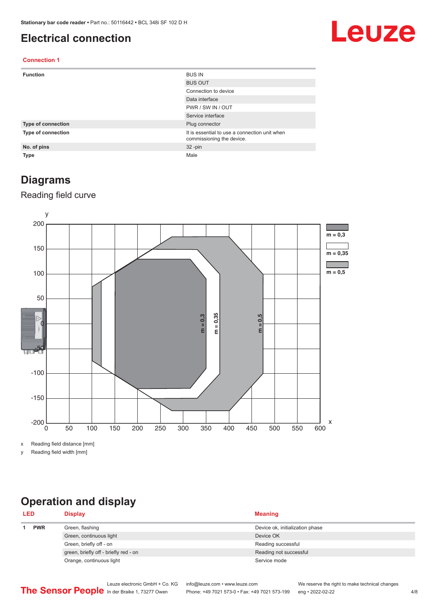### <span id="page-3-0"></span>**Electrical connection**

# Leuze

#### **Connection 1**

| <b>Function</b>    | <b>BUS IN</b>                                                              |
|--------------------|----------------------------------------------------------------------------|
|                    | <b>BUS OUT</b>                                                             |
|                    | Connection to device                                                       |
|                    | Data interface                                                             |
|                    | PWR / SW IN / OUT                                                          |
|                    | Service interface                                                          |
| Type of connection | Plug connector                                                             |
| Type of connection | It is essential to use a connection unit when<br>commissioning the device. |
| No. of pins        | $32 - pin$                                                                 |
| <b>Type</b>        | Male                                                                       |

### **Diagrams**

#### Reading field curve



x Reading field distance [mm]

y Reading field width [mm]

# **Operation and display**

| <b>LED</b> |            | <b>Display</b>                        | <b>Meaning</b>                  |
|------------|------------|---------------------------------------|---------------------------------|
|            | <b>PWR</b> | Green, flashing                       | Device ok, initialization phase |
|            |            | Green, continuous light               | Device OK                       |
|            |            | Green, briefly off - on               | Reading successful              |
|            |            | green, briefly off - briefly red - on | Reading not successful          |
|            |            | Orange, continuous light              | Service mode                    |
|            |            |                                       |                                 |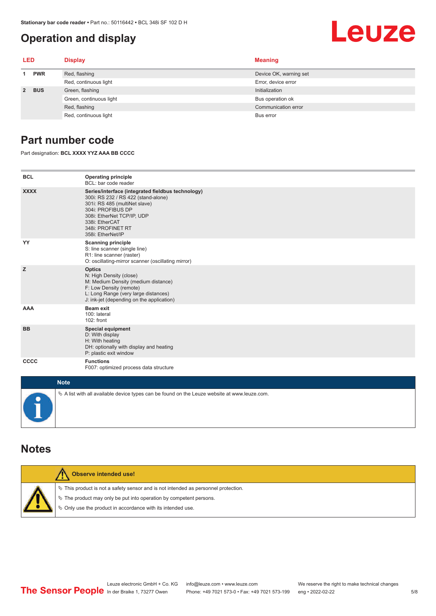# <span id="page-4-0"></span>**Operation and display**

# Leuze

| LED         |            | <b>Display</b>          | <b>Meaning</b>         |
|-------------|------------|-------------------------|------------------------|
|             | <b>PWR</b> | Red, flashing           | Device OK, warning set |
|             |            | Red, continuous light   | Error, device error    |
| $2^{\circ}$ | <b>BUS</b> | Green, flashing         | Initialization         |
|             |            | Green, continuous light | Bus operation ok       |
|             |            | Red, flashing           | Communication error    |
|             |            | Red, continuous light   | Bus error              |

## **Part number code**

Part designation: **BCL XXXX YYZ AAA BB CCCC**

| <b>BCL</b>  | <b>Operating principle</b><br>BCL: bar code reader                                                                                                                                                                                       |
|-------------|------------------------------------------------------------------------------------------------------------------------------------------------------------------------------------------------------------------------------------------|
| <b>XXXX</b> | Series/interface (integrated fieldbus technology)<br>300i: RS 232 / RS 422 (stand-alone)<br>301i: RS 485 (multiNet slave)<br>304i: PROFIBUS DP<br>308i: EtherNet TCP/IP, UDP<br>338i: EtherCAT<br>348i: PROFINET RT<br>358i: EtherNet/IP |
| YY          | <b>Scanning principle</b><br>S: line scanner (single line)<br>R1: line scanner (raster)<br>O: oscillating-mirror scanner (oscillating mirror)                                                                                            |
| z           | <b>Optics</b><br>N: High Density (close)<br>M: Medium Density (medium distance)<br>F: Low Density (remote)<br>L: Long Range (very large distances)<br>J: ink-jet (depending on the application)                                          |
| AAA         | <b>Beam exit</b><br>100: lateral<br>102: front                                                                                                                                                                                           |
| <b>BB</b>   | <b>Special equipment</b><br>D: With display<br>H: With heating<br>DH: optionally with display and heating<br>P: plastic exit window                                                                                                      |
| CCCC        | <b>Functions</b><br>F007: optimized process data structure                                                                                                                                                                               |
| $1.1 - 4.1$ |                                                                                                                                                                                                                                          |

| <b>Note</b>                                                                                  |
|----------------------------------------------------------------------------------------------|
| % A list with all available device types can be found on the Leuze website at www.leuze.com. |

### **Notes**

| <b>Observe intended use!</b>                                                                                                                                                                                                  |
|-------------------------------------------------------------------------------------------------------------------------------------------------------------------------------------------------------------------------------|
| $\%$ This product is not a safety sensor and is not intended as personnel protection.<br>$\%$ The product may only be put into operation by competent persons.<br>₿ Only use the product in accordance with its intended use. |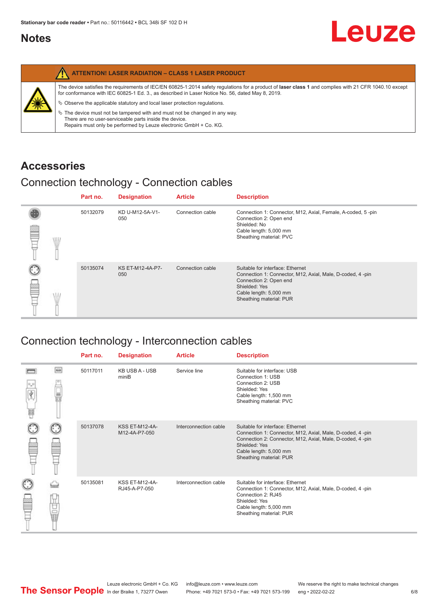## <span id="page-5-0"></span>**Notes**

|                   | <b>ATTENTION! LASER RADIATION - CLASS 1 LASER PRODUCT</b>                                                                                                                                                                                                  |
|-------------------|------------------------------------------------------------------------------------------------------------------------------------------------------------------------------------------------------------------------------------------------------------|
| <b>SILLER SEA</b> | The device satisfies the requirements of IEC/EN 60825-1:2014 safety regulations for a product of laser class 1 and complies with 21 CFR 1040.10 except<br>for conformance with IEC 60825-1 Ed. 3., as described in Laser Notice No. 56, dated May 8, 2019. |
|                   | $\&$ Observe the applicable statutory and local laser protection regulations.                                                                                                                                                                              |
|                   | $\%$ The device must not be tampered with and must not be changed in any way.<br>There are no user-serviceable parts inside the device.<br>Repairs must only be performed by Leuze electronic GmbH + Co. KG.                                               |

# **Accessories**

# Connection technology - Connection cables

|   |   | Part no. | <b>Designation</b>             | <b>Article</b>   | <b>Description</b>                                                                                                                                                                            |
|---|---|----------|--------------------------------|------------------|-----------------------------------------------------------------------------------------------------------------------------------------------------------------------------------------------|
| ≝ | W | 50132079 | KD U-M12-5A-V1-<br>050         | Connection cable | Connection 1: Connector, M12, Axial, Female, A-coded, 5-pin<br>Connection 2: Open end<br>Shielded: No<br>Cable length: 5,000 mm<br>Sheathing material: PVC                                    |
|   |   | 50135074 | <b>KS ET-M12-4A-P7-</b><br>050 | Connection cable | Suitable for interface: Ethernet<br>Connection 1: Connector, M12, Axial, Male, D-coded, 4-pin<br>Connection 2: Open end<br>Shielded: Yes<br>Cable length: 5,000 mm<br>Sheathing material: PUR |

# Connection technology - Interconnection cables

|   |     | Part no. | <b>Designation</b>                     | <b>Article</b>        | <b>Description</b>                                                                                                                                                                                                               |
|---|-----|----------|----------------------------------------|-----------------------|----------------------------------------------------------------------------------------------------------------------------------------------------------------------------------------------------------------------------------|
| Ħ | e   | 50117011 | <b>KB USB A - USB</b><br>miniB         | Service line          | Suitable for interface: USB<br>Connection 1: USB<br>Connection 2: USB<br>Shielded: Yes<br>Cable length: 1,500 mm<br>Sheathing material: PVC                                                                                      |
|   |     | 50137078 | <b>KSS ET-M12-4A-</b><br>M12-4A-P7-050 | Interconnection cable | Suitable for interface: Ethernet<br>Connection 1: Connector, M12, Axial, Male, D-coded, 4-pin<br>Connection 2: Connector, M12, Axial, Male, D-coded, 4-pin<br>Shielded: Yes<br>Cable length: 5,000 mm<br>Sheathing material: PUR |
|   | the | 50135081 | <b>KSS ET-M12-4A-</b><br>RJ45-A-P7-050 | Interconnection cable | Suitable for interface: Ethernet<br>Connection 1: Connector, M12, Axial, Male, D-coded, 4-pin<br>Connection 2: RJ45<br>Shielded: Yes<br>Cable length: 5,000 mm<br>Sheathing material: PUR                                        |

Leuze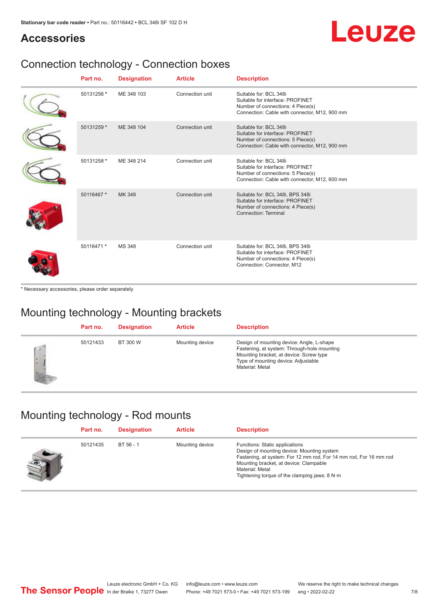# Leuze

# **Accessories**

# Connection technology - Connection boxes

| Part no.   | <b>Designation</b> | <b>Article</b>  | <b>Description</b>                                                                                                                               |
|------------|--------------------|-----------------|--------------------------------------------------------------------------------------------------------------------------------------------------|
| 50131256 * | ME 348 103         | Connection unit | Suitable for: BCL 348i<br>Suitable for interface: PROFINET<br>Number of connections: 4 Piece(s)<br>Connection: Cable with connector, M12, 900 mm |
| 50131259 * | ME 348 104         | Connection unit | Suitable for: BCL 348i<br>Suitable for interface: PROFINET<br>Number of connections: 5 Piece(s)<br>Connection: Cable with connector, M12, 900 mm |
| 50131258 * | ME 348 214         | Connection unit | Suitable for: BCL 348i<br>Suitable for interface: PROFINET<br>Number of connections: 5 Piece(s)<br>Connection: Cable with connector, M12, 600 mm |
| 50116467 * | MK 348             | Connection unit | Suitable for: BCL 348i, BPS 348i<br>Suitable for interface: PROFINET<br>Number of connections: 4 Piece(s)<br>Connection: Terminal                |
| 50116471 * | <b>MS 348</b>      | Connection unit | Suitable for: BCL 348i, BPS 348i<br>Suitable for interface: PROFINET<br>Number of connections: 4 Piece(s)<br>Connection: Connector, M12          |

\* Necessary accessories, please order separately

# Mounting technology - Mounting brackets

|              | Part no. | <b>Designation</b> | <b>Article</b>  | <b>Description</b>                                                                                                                                                                            |
|--------------|----------|--------------------|-----------------|-----------------------------------------------------------------------------------------------------------------------------------------------------------------------------------------------|
| $\sim$<br>ı. | 50121433 | BT 300 W           | Mounting device | Design of mounting device: Angle, L-shape<br>Fastening, at system: Through-hole mounting<br>Mounting bracket, at device: Screw type<br>Type of mounting device: Adjustable<br>Material: Metal |

# Mounting technology - Rod mounts

| Part no. | <b>Designation</b> | <b>Article</b>  | <b>Description</b>                                                                                                                                                                                                                                                |
|----------|--------------------|-----------------|-------------------------------------------------------------------------------------------------------------------------------------------------------------------------------------------------------------------------------------------------------------------|
| 50121435 | BT 56 - 1          | Mounting device | Functions: Static applications<br>Design of mounting device: Mounting system<br>Fastening, at system: For 12 mm rod, For 14 mm rod, For 16 mm rod<br>Mounting bracket, at device: Clampable<br>Material: Metal<br>Tightening torque of the clamping jaws: $8 N·m$ |